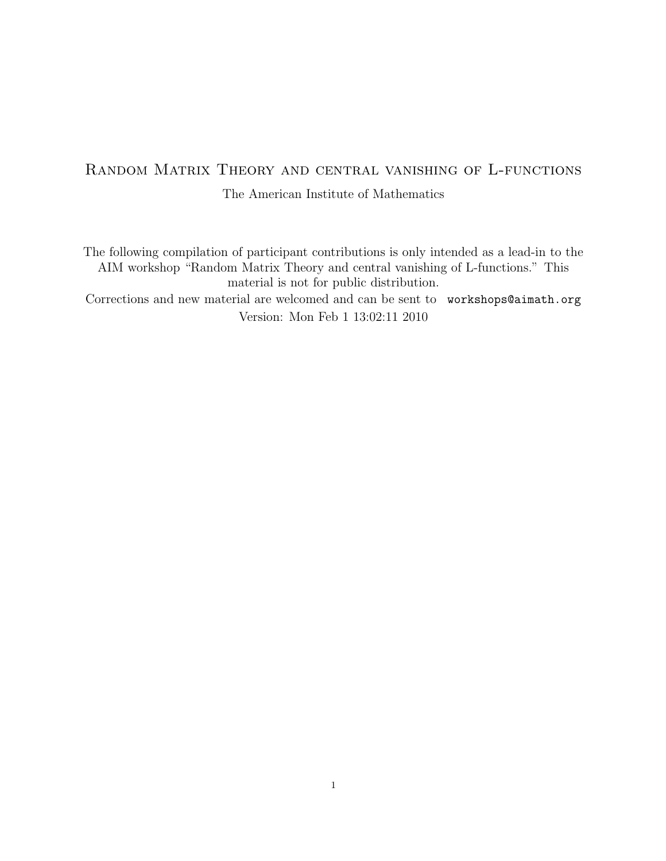# Random Matrix Theory and central vanishing of L-functions The American Institute of Mathematics

The following compilation of participant contributions is only intended as a lead-in to the AIM workshop "Random Matrix Theory and central vanishing of L-functions." This material is not for public distribution.

Corrections and new material are welcomed and can be sent to workshops@aimath.org Version: Mon Feb 1 13:02:11 2010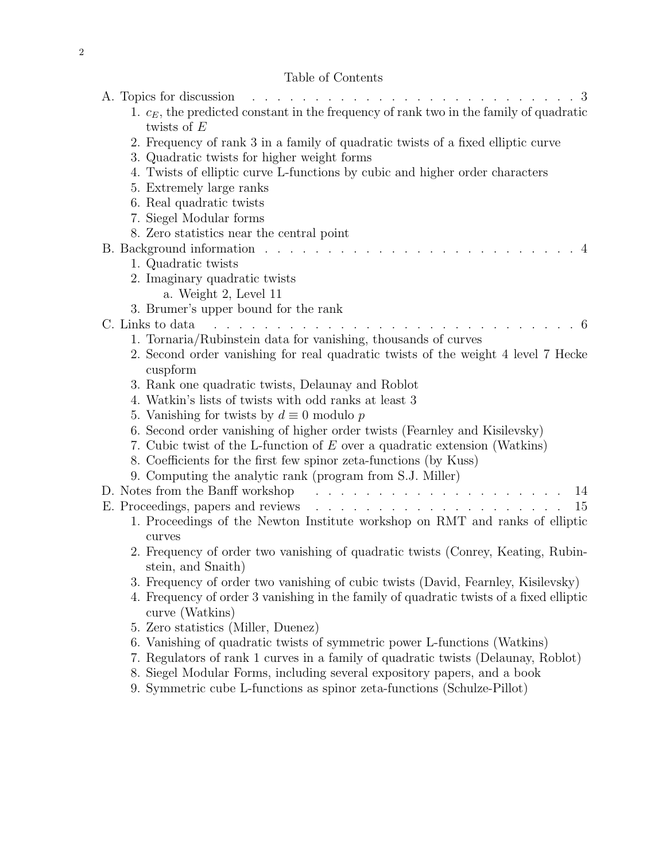# Table of Contents

| TOUIC OF COHECHER                                                                                          |    |
|------------------------------------------------------------------------------------------------------------|----|
| A. Topics for discussion<br>$\mathbf{r}$ . The set of $\mathbf{r}$                                         |    |
| 1. $c_E$ , the predicted constant in the frequency of rank two in the family of quadratic<br>twists of $E$ |    |
| 2. Frequency of rank 3 in a family of quadratic twists of a fixed elliptic curve                           |    |
| 3. Quadratic twists for higher weight forms                                                                |    |
| 4. Twists of elliptic curve L-functions by cubic and higher order characters                               |    |
| 5. Extremely large ranks                                                                                   |    |
| 6. Real quadratic twists                                                                                   |    |
| 7. Siegel Modular forms                                                                                    |    |
| 8. Zero statistics near the central point                                                                  |    |
| B. Background information                                                                                  |    |
| 1. Quadratic twists                                                                                        |    |
| 2. Imaginary quadratic twists                                                                              |    |
| a. Weight 2, Level 11                                                                                      |    |
| 3. Brumer's upper bound for the rank                                                                       |    |
| C. Links to data                                                                                           |    |
| 1. Tornaria/Rubinstein data for vanishing, thousands of curves                                             |    |
| 2. Second order vanishing for real quadratic twists of the weight 4 level 7 Hecke<br>cuspform              |    |
| 3. Rank one quadratic twists, Delaunay and Roblot                                                          |    |
| 4. Watkin's lists of twists with odd ranks at least 3                                                      |    |
| 5. Vanishing for twists by $d \equiv 0$ modulo p                                                           |    |
| 6. Second order vanishing of higher order twists (Fearnley and Kisilevsky)                                 |    |
| 7. Cubic twist of the L-function of $E$ over a quadratic extension (Watkins)                               |    |
| 8. Coefficients for the first few spinor zeta-functions (by Kuss)                                          |    |
| 9. Computing the analytic rank (program from S.J. Miller)                                                  |    |
| D. Notes from the Banff workshop<br>and a series of the contract of the contract of the                    | 14 |
|                                                                                                            | 15 |
| 1. Proceedings of the Newton Institute workshop on RMT and ranks of elliptic                               |    |
| curves                                                                                                     |    |
| 2. Frequency of order two vanishing of quadratic twists (Conrey, Keating, Rubin-                           |    |
| stein, and Snaith)                                                                                         |    |
| 3. Frequency of order two vanishing of cubic twists (David, Fearnley, Kisilevsky)                          |    |
| 4. Frequency of order 3 vanishing in the family of quadratic twists of a fixed elliptic<br>curve (Watkins) |    |
| 5. Zero statistics (Miller, Duenez)                                                                        |    |
| 6. Vanishing of quadratic twists of symmetric power L-functions (Watkins)                                  |    |
| 7. Regulators of rank 1 curves in a family of quadratic twists (Delaunay, Roblot)                          |    |
| 8. Siegel Modular Forms, including several expository papers, and a book                                   |    |
| 9. Symmetric cube L-functions as spinor zeta-functions (Schulze-Pillot)                                    |    |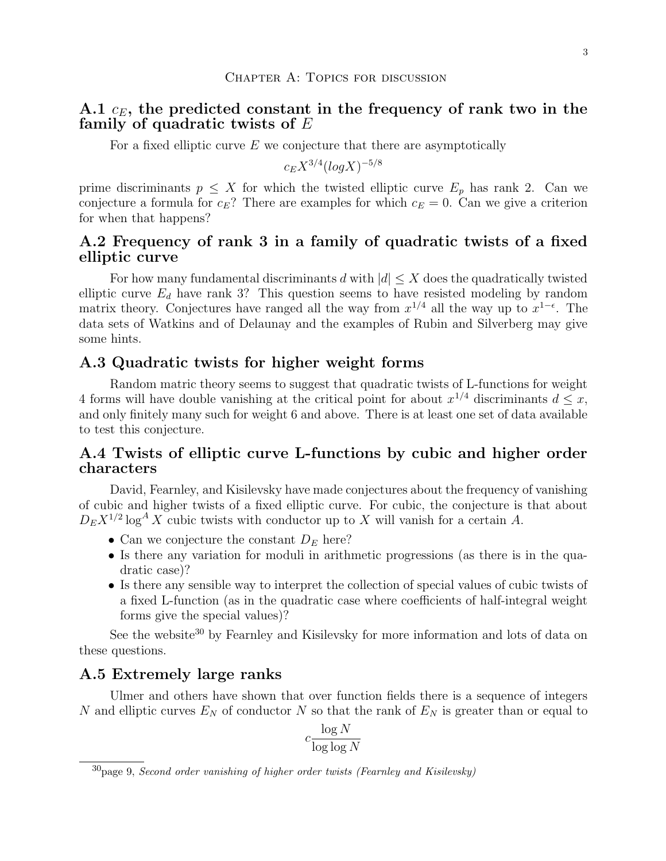## A.1  $c_E$ , the predicted constant in the frequency of rank two in the family of quadratic twists of  $E$

For a fixed elliptic curve  $E$  we conjecture that there are asymptotically

$$
c_E X^{3/4} (log X)^{-5/8}
$$

prime discriminants  $p \leq X$  for which the twisted elliptic curve  $E_p$  has rank 2. Can we conjecture a formula for  $c_E$ ? There are examples for which  $c_E = 0$ . Can we give a criterion for when that happens?

# A.2 Frequency of rank 3 in a family of quadratic twists of a fixed elliptic curve

For how many fundamental discriminants d with  $|d| \leq X$  does the quadratically twisted elliptic curve  $E_d$  have rank 3? This question seems to have resisted modeling by random matrix theory. Conjectures have ranged all the way from  $x^{1/4}$  all the way up to  $x^{1-\epsilon}$ . The data sets of Watkins and of Delaunay and the examples of Rubin and Silverberg may give some hints.

#### A.3 Quadratic twists for higher weight forms

Random matric theory seems to suggest that quadratic twists of L-functions for weight 4 forms will have double vanishing at the critical point for about  $x^{1/4}$  discriminants  $d \leq x$ , and only finitely many such for weight 6 and above. There is at least one set of data available to test this conjecture.

# A.4 Twists of elliptic curve L-functions by cubic and higher order characters

David, Fearnley, and Kisilevsky have made conjectures about the frequency of vanishing of cubic and higher twists of a fixed elliptic curve. For cubic, the conjecture is that about  $D_E X^{1/2} \log^A X$  cubic twists with conductor up to X will vanish for a certain A.

- Can we conjecture the constant  $D<sub>E</sub>$  here?
- Is there any variation for moduli in arithmetic progressions (as there is in the quadratic case)?
- Is there any sensible way to interpret the collection of special values of cubic twists of a fixed L-function (as in the quadratic case where coefficients of half-integral weight forms give the special values)?

See the website<sup>30</sup> by Fearnley and Kisilevsky for more information and lots of data on these questions.

#### A.5 Extremely large ranks

Ulmer and others have shown that over function fields there is a sequence of integers N and elliptic curves  $E_N$  of conductor N so that the rank of  $E_N$  is greater than or equal to

$$
c \frac{\log N}{\log \log N}
$$

 $30$  page 9, Second order vanishing of higher order twists (Fearnley and Kisilevsky)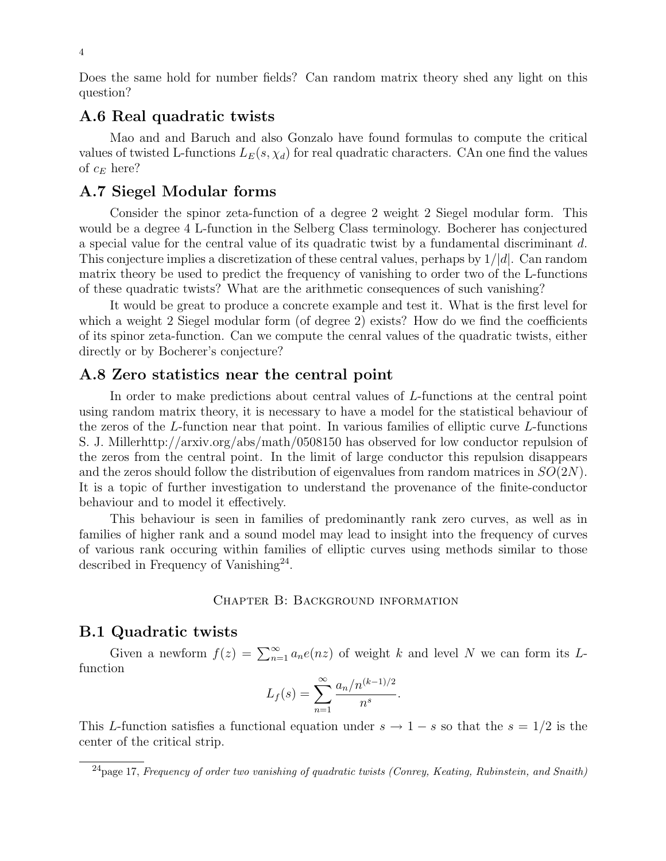Does the same hold for number fields? Can random matrix theory shed any light on this question?

# A.6 Real quadratic twists

Mao and and Baruch and also Gonzalo have found formulas to compute the critical values of twisted L-functions  $L_E(s, \chi_d)$  for real quadratic characters. CAn one find the values of  $c_E$  here?

#### A.7 Siegel Modular forms

Consider the spinor zeta-function of a degree 2 weight 2 Siegel modular form. This would be a degree 4 L-function in the Selberg Class terminology. Bocherer has conjectured a special value for the central value of its quadratic twist by a fundamental discriminant d. This conjecture implies a discretization of these central values, perhaps by  $1/|d|$ . Can random matrix theory be used to predict the frequency of vanishing to order two of the L-functions of these quadratic twists? What are the arithmetic consequences of such vanishing?

It would be great to produce a concrete example and test it. What is the first level for which a weight 2 Siegel modular form (of degree 2) exists? How do we find the coefficients of its spinor zeta-function. Can we compute the cenral values of the quadratic twists, either directly or by Bocherer's conjecture?

#### A.8 Zero statistics near the central point

In order to make predictions about central values of L-functions at the central point using random matrix theory, it is necessary to have a model for the statistical behaviour of the zeros of the L-function near that point. In various families of elliptic curve L-functions S. J. Millerhttp://arxiv.org/abs/math/0508150 has observed for low conductor repulsion of the zeros from the central point. In the limit of large conductor this repulsion disappears and the zeros should follow the distribution of eigenvalues from random matrices in  $SO(2N)$ . It is a topic of further investigation to understand the provenance of the finite-conductor behaviour and to model it effectively.

This behaviour is seen in families of predominantly rank zero curves, as well as in families of higher rank and a sound model may lead to insight into the frequency of curves of various rank occuring within families of elliptic curves using methods similar to those described in Frequency of Vanishing<sup>24</sup>.

#### Chapter B: Background information

#### B.1 Quadratic twists

Given a newform  $f(z) = \sum_{n=1}^{\infty} a_n e(nz)$  of weight k and level N we can form its Lfunction

$$
L_f(s) = \sum_{n=1}^{\infty} \frac{a_n/n^{(k-1)/2}}{n^s}
$$

.

This L-function satisfies a functional equation under  $s \to 1 - s$  so that the  $s = 1/2$  is the center of the critical strip.

 $^{24}$ page 17, Frequency of order two vanishing of quadratic twists (Conrey, Keating, Rubinstein, and Snaith)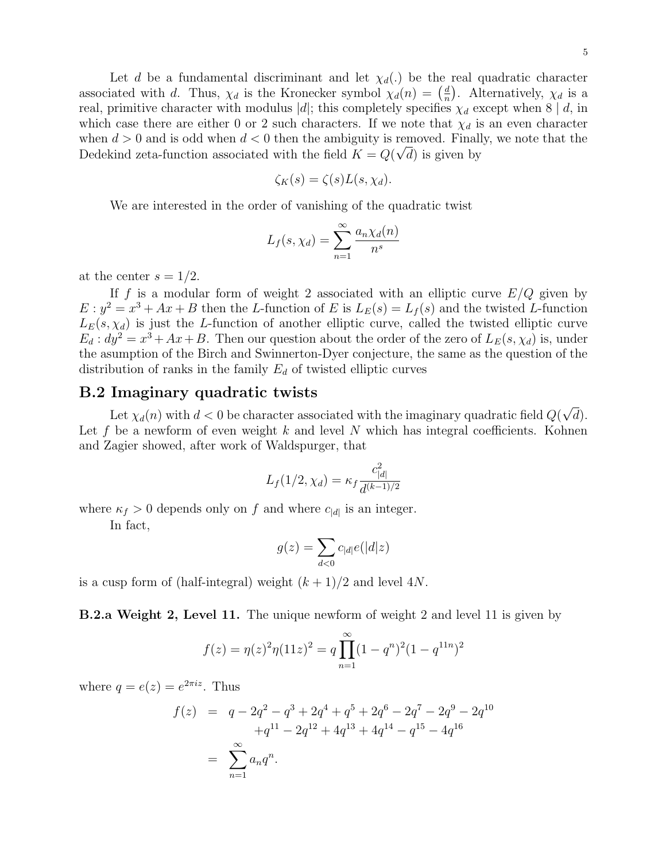Let d be a fundamental discriminant and let  $\chi_d(.)$  be the real quadratic character associated with d. Thus,  $\chi_d$  is the Kronecker symbol  $\chi_d(n) = \left(\frac{d}{n}\right)^n$  $\frac{d}{n}$ ). Alternatively,  $\chi_d$  is a real, primitive character with modulus |d|; this completely specifies  $\chi_d$  except when 8 | d, in which case there are either 0 or 2 such characters. If we note that  $\chi_d$  is an even character when  $d > 0$  and is odd when  $d < 0$  then the ambiguity is removed. Finally, we note that the Dedekind zeta-function associated with the field  $K = Q(\sqrt{d})$  is given by

$$
\zeta_K(s) = \zeta(s)L(s,\chi_d).
$$

We are interested in the order of vanishing of the quadratic twist

$$
L_f(s, \chi_d) = \sum_{n=1}^{\infty} \frac{a_n \chi_d(n)}{n^s}
$$

at the center  $s = 1/2$ .

If f is a modular form of weight 2 associated with an elliptic curve  $E/Q$  given by  $E: y^2 = x^3 + Ax + B$  then the L-function of E is  $L_E(s) = L_f(s)$  and the twisted L-function  $L_E(s, \chi_d)$  is just the L-function of another elliptic curve, called the twisted elliptic curve  $E_d: dy^2 = x^3 + Ax + B$ . Then our question about the order of the zero of  $L_E(s, \chi_d)$  is, under the asumption of the Birch and Swinnerton-Dyer conjecture, the same as the question of the distribution of ranks in the family  $E_d$  of twisted elliptic curves

#### B.2 Imaginary quadratic twists

Let  $\chi_d(n)$  with  $d < 0$  be character associated with the imaginary quadratic field  $Q(\sqrt{d})$ . Let f be a newform of even weight k and level N which has integral coefficients. Kohnen and Zagier showed, after work of Waldspurger, that

$$
L_f(1/2, \chi_d) = \kappa_f \frac{c_{|d|}^2}{d^{(k-1)/2}}
$$

where  $\kappa_f > 0$  depends only on f and where  $c_{|d|}$  is an integer.

In fact,

$$
g(z) = \sum_{d<0} c_{|d|} e(|d|z)
$$

is a cusp form of (half-integral) weight  $(k+1)/2$  and level 4N.

B.2.a Weight 2, Level 11. The unique newform of weight 2 and level 11 is given by

$$
f(z) = \eta(z)^{2} \eta(11z)^{2} = q \prod_{n=1}^{\infty} (1 - q^{n})^{2} (1 - q^{11n})^{2}
$$

where  $q = e(z) = e^{2\pi i z}$ . Thus

$$
f(z) = q - 2q^{2} - q^{3} + 2q^{4} + q^{5} + 2q^{6} - 2q^{7} - 2q^{9} - 2q^{10}
$$
  
+
$$
q^{11} - 2q^{12} + 4q^{13} + 4q^{14} - q^{15} - 4q^{16}
$$
  
= 
$$
\sum_{n=1}^{\infty} a_n q^n.
$$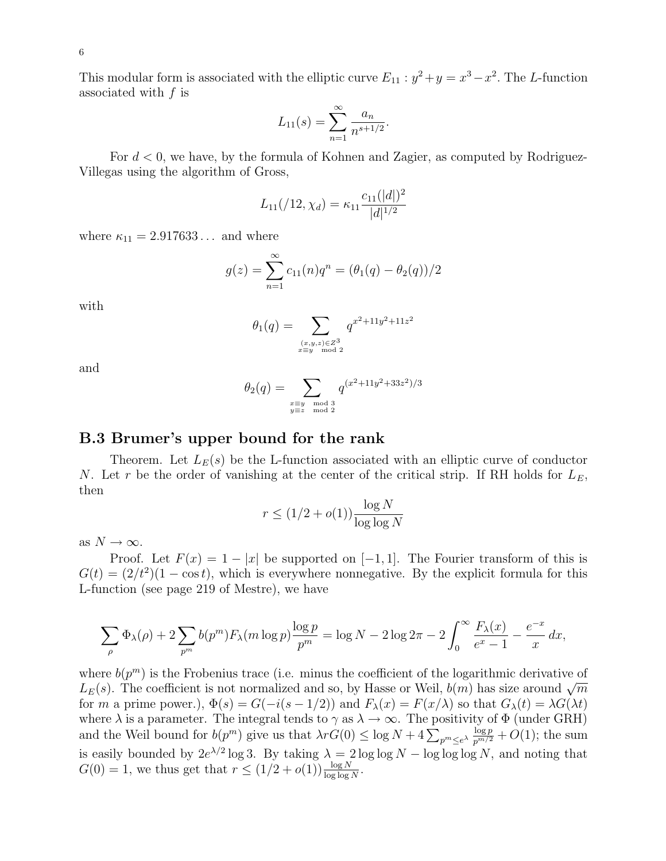This modular form is associated with the elliptic curve  $E_{11}$ :  $y^2 + y = x^3 - x^2$ . The L-function associated with  $f$  is

$$
L_{11}(s) = \sum_{n=1}^{\infty} \frac{a_n}{n^{s+1/2}}.
$$

For  $d < 0$ , we have, by the formula of Kohnen and Zagier, as computed by Rodriguez-Villegas using the algorithm of Gross,

$$
L_{11}(\big/12, \chi_d) = \kappa_{11} \frac{c_{11}(|d|)^2}{|d|^{1/2}}
$$

where  $\kappa_{11} = 2.917633...$  and where

$$
g(z) = \sum_{n=1}^{\infty} c_{11}(n)q^{n} = (\theta_1(q) - \theta_2(q))/2
$$

with

$$
\theta_1(q) = \sum_{\substack{(x,y,z) \in Z^3 \\ x \equiv y \mod 2}} q^{x^2 + 11y^2 + 11z^2}
$$

and

$$
\theta_2(q) = \sum_{\substack{x \equiv y \mod 3 \\ y \equiv z \mod 2}} q^{(x^2 + 11y^2 + 33z^2)/3}
$$

#### B.3 Brumer's upper bound for the rank

Theorem. Let  $L_E(s)$  be the L-function associated with an elliptic curve of conductor N. Let r be the order of vanishing at the center of the critical strip. If RH holds for  $L<sub>E</sub>$ , then

$$
r \le (1/2 + o(1)) \frac{\log N}{\log \log N}
$$

as  $N \to \infty$ .

Proof. Let  $F(x) = 1 - |x|$  be supported on  $[-1, 1]$ . The Fourier transform of this is  $G(t) = (2/t^2)(1 - \cos t)$ , which is everywhere nonnegative. By the explicit formula for this L-function (see page 219 of Mestre), we have

$$
\sum_{\rho} \Phi_{\lambda}(\rho) + 2 \sum_{p^m} b(p^m) F_{\lambda}(m \log p) \frac{\log p}{p^m} = \log N - 2 \log 2\pi - 2 \int_0^{\infty} \frac{F_{\lambda}(x)}{e^x - 1} - \frac{e^{-x}}{x} dx,
$$

where  $b(p^m)$  is the Frobenius trace (i.e. minus the coefficient of the logarithmic derivative of  $L_E(s)$ . The coefficient is not normalized and so, by Hasse or Weil,  $b(m)$  has size around  $\sqrt{m}$ for m a prime power.),  $\Phi(s) = G(-i(s-1/2))$  and  $F_{\lambda}(x) = F(x/\lambda)$  so that  $G_{\lambda}(t) = \lambda G(\lambda t)$ where  $\lambda$  is a parameter. The integral tends to  $\gamma$  as  $\lambda \to \infty$ . The positivity of  $\Phi$  (under GRH) and the Weil bound for  $b(p^m)$  give us that  $\lambda r G(0) \leq \log N + 4 \sum_{p^m \leq e^{\lambda}} \frac{\log p}{p^{m/2}} + O(1)$ ; the sum is easily bounded by  $2e^{\lambda/2} \log 3$ . By taking  $\lambda = 2 \log \log N - \log \log \log N$ , and noting that  $G(0) = 1$ , we thus get that  $r \leq (1/2 + o(1)) \frac{\log N}{\log \log N}$ .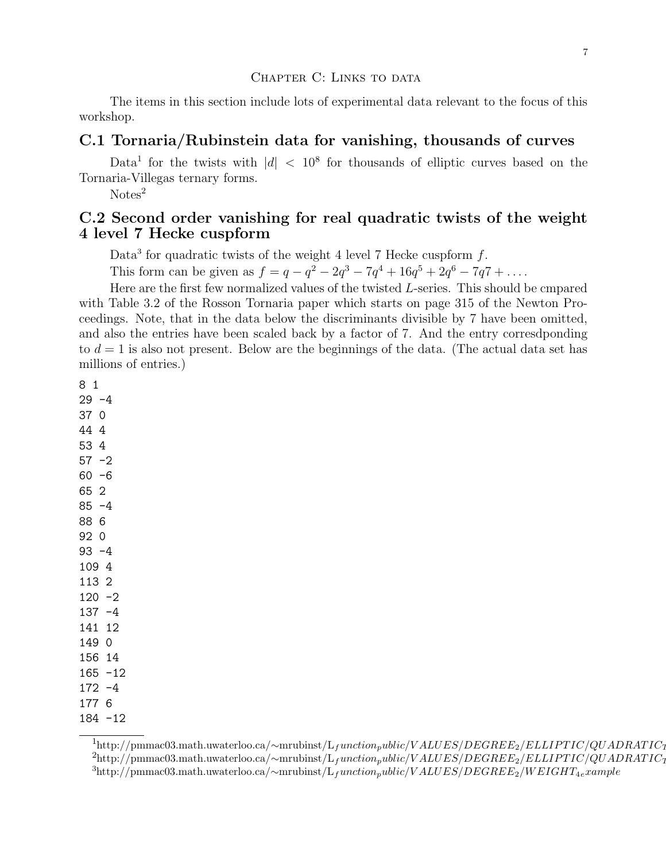#### CHAPTER C: LINKS TO DATA

The items in this section include lots of experimental data relevant to the focus of this workshop.

#### C.1 Tornaria/Rubinstein data for vanishing, thousands of curves

Data<sup>1</sup> for the twists with  $|d| < 10^8$  for thousands of elliptic curves based on the Tornaria-Villegas ternary forms.

 $Notes<sup>2</sup>$ 

### C.2 Second order vanishing for real quadratic twists of the weight 4 level 7 Hecke cuspform

Data<sup>3</sup> for quadratic twists of the weight 4 level 7 Hecke cuspform  $f$ .

This form can be given as  $f = q - q^2 - 2q^3 - 7q^4 + 16q^5 + 2q^6 - 7q^7 + \dots$ 

Here are the first few normalized values of the twisted L-series. This should be cmpared with Table 3.2 of the Rosson Tornaria paper which starts on page 315 of the Newton Proceedings. Note, that in the data below the discriminants divisible by 7 have been omitted, and also the entries have been scaled back by a factor of 7. And the entry corresdponding to  $d = 1$  is also not present. Below are the beginnings of the data. (The actual data set has millions of entries.)

 $1<sup>1</sup>$ http://pmmac03.math.uwaterloo.ca/∼mrubinst/L<sub>f</sub>unction<sub>p</sub>ublic/V ALUES/DEGREE<sub>2</sub>/ELLIPTIC/QUADRATIC<sub>1</sub>  $^{2}$ http://pmmac03.math.uwaterloo.ca/∼mrubinst/L<sub>f</sub>unction<sub>p</sub>ublic/V ALUES/DEGREE<sub>2</sub>/ELLIPTIC/QUADRATIC<sub>1</sub>  $3$ http://pmmac03.math.uwaterloo.ca/∼mrubinst/L<sub>f</sub>unction<sub>p</sub>ublic/V ALUES/DEGREE<sub>2</sub>/WEIGHT<sub>4e</sub>xample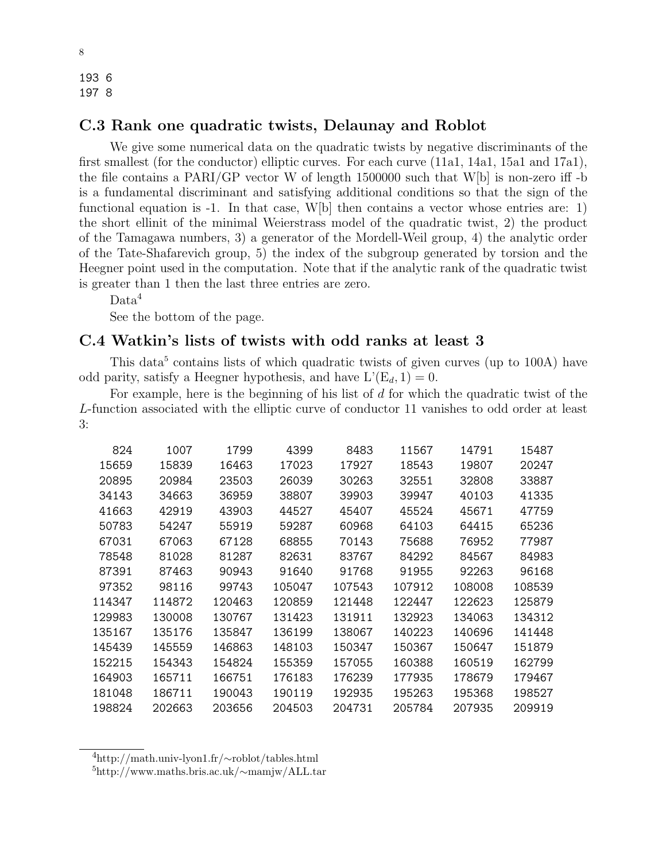193 6 197 8

### C.3 Rank one quadratic twists, Delaunay and Roblot

We give some numerical data on the quadratic twists by negative discriminants of the first smallest (for the conductor) elliptic curves. For each curve (11a1, 14a1, 15a1 and 17a1), the file contains a PARI/GP vector W of length  $1500000$  such that W[b] is non-zero iff -b is a fundamental discriminant and satisfying additional conditions so that the sign of the functional equation is  $-1$ . In that case, W[b] then contains a vector whose entries are: 1) the short ellinit of the minimal Weierstrass model of the quadratic twist, 2) the product of the Tamagawa numbers, 3) a generator of the Mordell-Weil group, 4) the analytic order of the Tate-Shafarevich group, 5) the index of the subgroup generated by torsion and the Heegner point used in the computation. Note that if the analytic rank of the quadratic twist is greater than 1 then the last three entries are zero.

Data<sup>4</sup>

See the bottom of the page.

### C.4 Watkin's lists of twists with odd ranks at least 3

This data<sup>5</sup> contains lists of which quadratic twists of given curves (up to 100A) have odd parity, satisfy a Heegner hypothesis, and have  $L'(E_d, 1) = 0$ .

For example, here is the beginning of his list of  $d$  for which the quadratic twist of the L-function associated with the elliptic curve of conductor 11 vanishes to odd order at least 3:

| 824    | 1007   | 1799   | 4399   | 8483   | 11567  | 14791  | 15487  |
|--------|--------|--------|--------|--------|--------|--------|--------|
| 15659  | 15839  | 16463  | 17023  | 17927  | 18543  | 19807  | 20247  |
| 20895  | 20984  | 23503  | 26039  | 30263  | 32551  | 32808  | 33887  |
| 34143  | 34663  | 36959  | 38807  | 39903  | 39947  | 40103  | 41335  |
| 41663  | 42919  | 43903  | 44527  | 45407  | 45524  | 45671  | 47759  |
| 50783  | 54247  | 55919  | 59287  | 60968  | 64103  | 64415  | 65236  |
| 67031  | 67063  | 67128  | 68855  | 70143  | 75688  | 76952  | 77987  |
| 78548  | 81028  | 81287  | 82631  | 83767  | 84292  | 84567  | 84983  |
| 87391  | 87463  | 90943  | 91640  | 91768  | 91955  | 92263  | 96168  |
| 97352  | 98116  | 99743  | 105047 | 107543 | 107912 | 108008 | 108539 |
| 114347 | 114872 | 120463 | 120859 | 121448 | 122447 | 122623 | 125879 |
| 129983 | 130008 | 130767 | 131423 | 131911 | 132923 | 134063 | 134312 |
| 135167 | 135176 | 135847 | 136199 | 138067 | 140223 | 140696 | 141448 |
| 145439 | 145559 | 146863 | 148103 | 150347 | 150367 | 150647 | 151879 |
| 152215 | 154343 | 154824 | 155359 | 157055 | 160388 | 160519 | 162799 |
| 164903 | 165711 | 166751 | 176183 | 176239 | 177935 | 178679 | 179467 |
| 181048 | 186711 | 190043 | 190119 | 192935 | 195263 | 195368 | 198527 |
| 198824 | 202663 | 203656 | 204503 | 204731 | 205784 | 207935 | 209919 |

<sup>4</sup>http://math.univ-lyon1.fr/∼roblot/tables.html

<sup>5</sup>http://www.maths.bris.ac.uk/∼mamjw/ALL.tar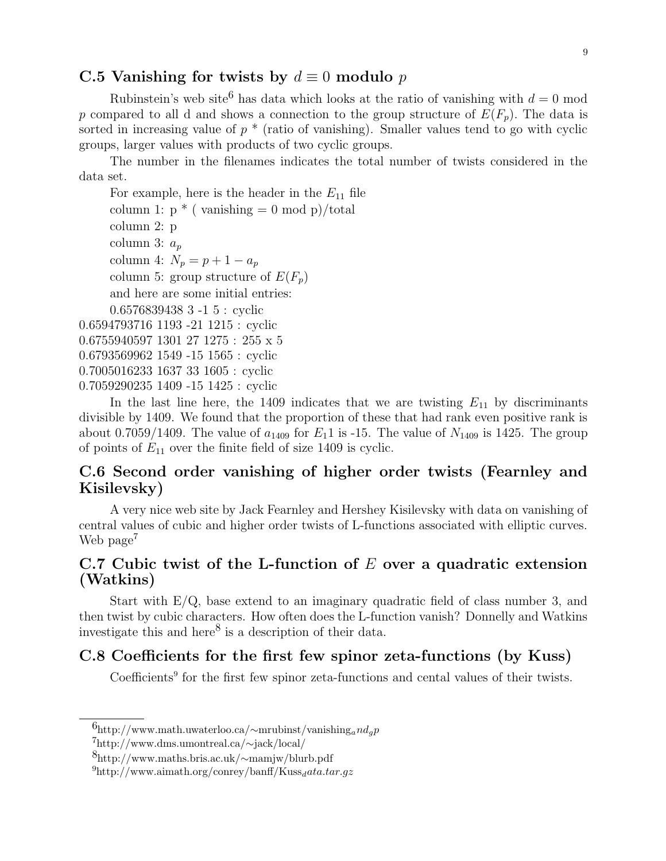### C.5 Vanishing for twists by  $d \equiv 0$  modulo p

Rubinstein's web site<sup>6</sup> has data which looks at the ratio of vanishing with  $d = 0$  mod p compared to all d and shows a connection to the group structure of  $E(F_p)$ . The data is sorted in increasing value of  $p *$  (ratio of vanishing). Smaller values tend to go with cyclic groups, larger values with products of two cyclic groups.

The number in the filenames indicates the total number of twists considered in the data set.

For example, here is the header in the  $E_{11}$  file column 1:  $p * (vanishing = 0 \mod p)/total$ column 2: p column 3:  $a_p$ column 4:  $N_p = p + 1 - a_p$ column 5: group structure of  $E(F_p)$ and here are some initial entries: 0.6576839438 3 -1 5 : cyclic 0.6594793716 1193 -21 1215 : cyclic 0.6755940597 1301 27 1275 : 255 x 5 0.6793569962 1549 -15 1565 : cyclic 0.7005016233 1637 33 1605 : cyclic 0.7059290235 1409 -15 1425 : cyclic

In the last line here, the 1409 indicates that we are twisting  $E_{11}$  by discriminants divisible by 1409. We found that the proportion of these that had rank even positive rank is about 0.7059/1409. The value of  $a_{1409}$  for  $E_1$ 1 is -15. The value of  $N_{1409}$  is 1425. The group of points of  $E_{11}$  over the finite field of size 1409 is cyclic.

# C.6 Second order vanishing of higher order twists (Fearnley and Kisilevsky)

A very nice web site by Jack Fearnley and Hershey Kisilevsky with data on vanishing of central values of cubic and higher order twists of L-functions associated with elliptic curves. Web page<sup> $\ell$ </sup>

# C.7 Cubic twist of the L-function of  $E$  over a quadratic extension (Watkins)

Start with  $E/Q$ , base extend to an imaginary quadratic field of class number 3, and then twist by cubic characters. How often does the L-function vanish? Donnelly and Watkins investigate this and here<sup>8</sup> is a description of their data.

### C.8 Coefficients for the first few spinor zeta-functions (by Kuss)

Coefficients<sup>9</sup> for the first few spinor zeta-functions and cental values of their twists.

 $^{6}$ http://www.math.uwaterloo.ca/∼mrubinst/vanishing<sub>a</sub>nd<sub>g</sub>p

<sup>7</sup>http://www.dms.umontreal.ca/∼jack/local/

<sup>8</sup>http://www.maths.bris.ac.uk/∼mamjw/blurb.pdf

 $^{9}$ http://www.aimath.org/conrey/banff/Kuss<sub>d</sub>ata.tar.gz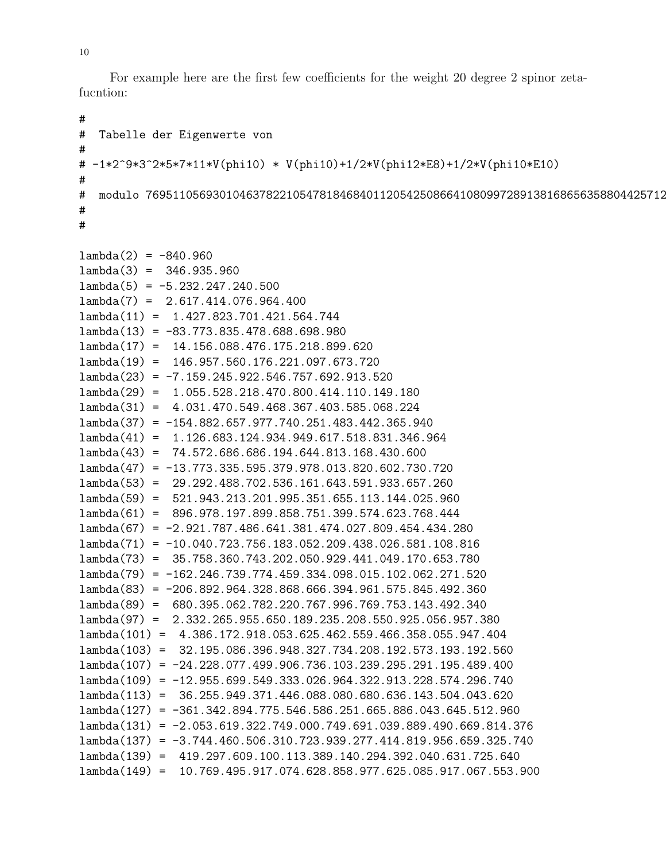For example here are the first few coefficients for the weight 20 degree 2 spinor zetafucntion:

```
#
# Tabelle der Eigenwerte von
#
# -1*2^9*3^2*5*7*11*V(phi10) * V(phi10)+1/2*V(phi12*E8)+1/2*V(phi10*E10)
#
# modulo 769511056930104637822105478184684011205425086641080997289138168656358804425712
#
#
lambda(2) = -840.960lambda(3) = 346.935.960lambda(5) = -5.232.247.240.500lambda(7) = 2.617.414.076.964.400
lambda(11) = 1.427.823.701.421.564.744
lambda(13) = -83.773.835.478.688.698.980lambda(17) = 14.156.088.476.175.218.899.620
lambda(19) = 146.957.560.176.221.097.673.720
lambda(23) = -7.159.245.922.546.757.692.913.520
lambda(29) = 1.055.528.218.470.800.414.110.149.180
lambda(31) = 4.031.470.549.468.367.403.585.068.224
lambda(37) = -154.882.657.977.740.251.483.442.365.940
lambda(41) = 1.126.683.124.934.949.617.518.831.346.964
lambda(43) = 74.572.686.686.194.644.813.168.430.600
lambda(47) = -13.773.335.595.379.978.013.820.602.730.720
lambda(53) = 29.292.488.702.536.161.643.591.933.657.260
lambda(59) = 521.943.213.201.995.351.655.113.144.025.960
lambda(61) = 896.978.197.899.858.751.399.574.623.768.444
lambda(67) = -2.921.787.486.641.381.474.027.809.454.434.280
lambda(71) = -10.040.723.756.183.052.209.438.026.581.108.816
lambda(73) = 35.758.360.743.202.050.929.441.049.170.653.780
lambda(79) = -162.246.739.774.459.334.098.015.102.062.271.520
lambda(83) = -206.892.964.328.868.666.394.961.575.845.492.360
lambda(89) = 680.395.062.782.220.767.996.769.753.143.492.340
lambda(97) = 2.332.265.955.650.189.235.208.550.925.056.957.380
lambda(101) = 4.386.172.918.053.625.462.559.466.358.055.947.404
lambda(103) = 32.195.086.396.948.327.734.208.192.573.193.192.560
lambda(107) = -24.228.077.499.906.736.103.239.295.291.195.489.400
lambda(109) = -12.955.699.549.333.026.964.322.913.228.574.296.740
lambda(113) = 36.255.949.371.446.088.080.680.636.143.504.043.620
lambda(127) = -361.342.894.775.546.586.251.665.886.043.645.512.960
lambda(131) = -2.053.619.322.749.000.749.691.039.889.490.669.814.376
lambda(137) = -3.744.460.506.310.723.939.277.414.819.956.659.325.740
lambda(139) = 419.297.609.100.113.389.140.294.392.040.631.725.640
lambda(149) = 10.769.495.917.074.628.858.977.625.085.917.067.553.900
```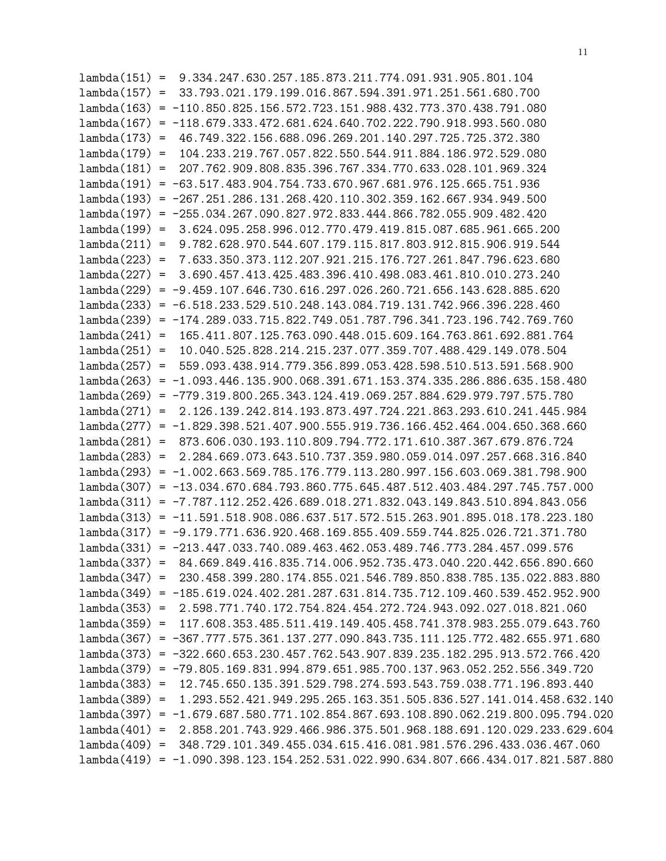lambda(151) = 9.334.247.630.257.185.873.211.774.091.931.905.801.104 lambda(157) = 33.793.021.179.199.016.867.594.391.971.251.561.680.700 lambda(163) = -110.850.825.156.572.723.151.988.432.773.370.438.791.080 lambda(167) = -118.679.333.472.681.624.640.702.222.790.918.993.560.080 lambda(173) = 46.749.322.156.688.096.269.201.140.297.725.725.372.380 lambda(179) = 104.233.219.767.057.822.550.544.911.884.186.972.529.080 lambda(181) = 207.762.909.808.835.396.767.334.770.633.028.101.969.324 lambda(191) = -63.517.483.904.754.733.670.967.681.976.125.665.751.936 lambda(193) = -267.251.286.131.268.420.110.302.359.162.667.934.949.500 lambda(197) = -255.034.267.090.827.972.833.444.866.782.055.909.482.420 lambda(199) = 3.624.095.258.996.012.770.479.419.815.087.685.961.665.200 lambda(211) = 9.782.628.970.544.607.179.115.817.803.912.815.906.919.544 lambda(223) = 7.633.350.373.112.207.921.215.176.727.261.847.796.623.680 lambda(227) = 3.690.457.413.425.483.396.410.498.083.461.810.010.273.240 lambda(229) = -9.459.107.646.730.616.297.026.260.721.656.143.628.885.620 lambda(233) = -6.518.233.529.510.248.143.084.719.131.742.966.396.228.460 lambda(239) = -174.289.033.715.822.749.051.787.796.341.723.196.742.769.760 lambda(241) = 165.411.807.125.763.090.448.015.609.164.763.861.692.881.764 lambda(251) = 10.040.525.828.214.215.237.077.359.707.488.429.149.078.504 lambda(257) = 559.093.438.914.779.356.899.053.428.598.510.513.591.568.900 lambda(263) = -1.093.446.135.900.068.391.671.153.374.335.286.886.635.158.480 lambda(269) = -779.319.800.265.343.124.419.069.257.884.629.979.797.575.780 lambda(271) = 2.126.139.242.814.193.873.497.724.221.863.293.610.241.445.984 lambda(277) = -1.829.398.521.407.900.555.919.736.166.452.464.004.650.368.660 lambda(281) = 873.606.030.193.110.809.794.772.171.610.387.367.679.876.724 lambda(283) = 2.284.669.073.643.510.737.359.980.059.014.097.257.668.316.840 lambda(293) = -1.002.663.569.785.176.779.113.280.997.156.603.069.381.798.900 lambda(307) = -13.034.670.684.793.860.775.645.487.512.403.484.297.745.757.000 lambda(311) = -7.787.112.252.426.689.018.271.832.043.149.843.510.894.843.056 lambda(313) = -11.591.518.908.086.637.517.572.515.263.901.895.018.178.223.180 lambda(317) = -9.179.771.636.920.468.169.855.409.559.744.825.026.721.371.780 lambda(331) = -213.447.033.740.089.463.462.053.489.746.773.284.457.099.576 lambda(337) = 84.669.849.416.835.714.006.952.735.473.040.220.442.656.890.660 lambda(347) = 230.458.399.280.174.855.021.546.789.850.838.785.135.022.883.880 lambda(349) = -185.619.024.402.281.287.631.814.735.712.109.460.539.452.952.900 lambda(353) = 2.598.771.740.172.754.824.454.272.724.943.092.027.018.821.060 lambda(359) = 117.608.353.485.511.419.149.405.458.741.378.983.255.079.643.760 lambda(367) = -367.777.575.361.137.277.090.843.735.111.125.772.482.655.971.680 lambda(373) = -322.660.653.230.457.762.543.907.839.235.182.295.913.572.766.420 lambda(379) = -79.805.169.831.994.879.651.985.700.137.963.052.252.556.349.720 lambda(383) = 12.745.650.135.391.529.798.274.593.543.759.038.771.196.893.440 lambda(389) = 1.293.552.421.949.295.265.163.351.505.836.527.141.014.458.632.140 lambda(397) = -1.679.687.580.771.102.854.867.693.108.890.062.219.800.095.794.020 lambda(401) = 2.858.201.743.929.466.986.375.501.968.188.691.120.029.233.629.604 lambda(409) = 348.729.101.349.455.034.615.416.081.981.576.296.433.036.467.060 lambda(419) = -1.090.398.123.154.252.531.022.990.634.807.666.434.017.821.587.880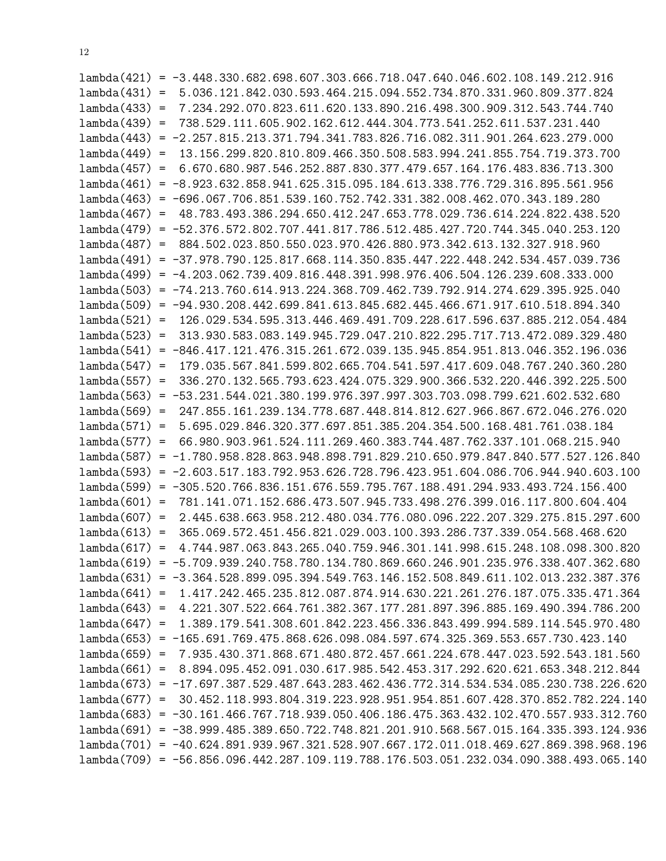|                 | $lambda(421) = -3.448.330.682.698.607.303.666.718.047.640.046.602.108.149.212.916$      |
|-----------------|-----------------------------------------------------------------------------------------|
|                 | $lambda(431) = 5.036.121.842.030.593.464.215.094.552.734.870.331.960.809.377.824$       |
|                 | $lambda(433) = 7.234.292.070.823.611.620.133.890.216.498.300.909.312.543.744.740$       |
| $lambda(439) =$ | 738.529.111.605.902.162.612.444.304.773.541.252.611.537.231.440                         |
| lambda(443)     | $= -2.257.815.213.371.794.341.783.826.716.082.311.901.264.623.279.000$                  |
|                 | $lambda(449) = 13.156.299.820.810.809.466.350.508.583.994.241.855.754.719.373.700$      |
|                 | $lambda(457) = 6.670.680.987.546.252.887.830.377.479.657.164.176.483.836.713.300$       |
|                 | $lambda(461) = -8.923.632.858.941.625.315.095.184.613.338.776.729.316.895.561.956$      |
|                 | $lambda(463) = -696.067.706.851.539.160.752.742.331.382.008.462.070.343.189.280$        |
| $lambda(467) =$ | 48.783.493.386.294.650.412.247.653.778.029.736.614.224.822.438.520                      |
|                 | $lambda(479) = -52.376.572.802.707.441.817.786.512.485.427.720.744.345.040.253.120$     |
|                 | $lambda(487) = 884.502.023.850.550.023.970.426.880.973.342.613.132.327.918.960$         |
|                 | $lambda(491) = -37.978.790.125.817.668.114.350.835.447.222.448.242.534.457.039.736$     |
|                 | $lambda(499) = -4.203.062.739.409.816.448.391.998.976.406.504.126.239.608.333.000$      |
|                 | $lambda(503) = -74.213.760.614.913.224.368.709.462.739.792.914.274.629.395.925.040$     |
|                 | $lambda(509) = -94.930.208.442.699.841.613.845.682.445.466.671.917.610.518.894.340$     |
|                 | $lambda(521) = 126.029.534.595.313.446.469.491.709.228.617.596.637.885.212.054.484$     |
|                 | lambda(523) = 313.930.583.083.149.945.729.047.210.822.295.717.713.472.089.329.480       |
|                 | $lambda(541) = -846.417.121.476.315.261.672.039.135.945.854.951.813.046.352.196.036$    |
|                 | $lambda(547) = 179.035.567.841.599.802.665.704.541.597.417.609.048.767.240.360.280$     |
|                 | $lambda(557) = 336.270.132.565.793.623.424.075.329.900.366.532.220.446.392.225.500$     |
|                 | $lambda(563) = -53.231.544.021.380.199.976.397.997.303.703.098.799.621.602.532.680$     |
|                 | $lambda(569) = 247.855.161.239.134.778.687.448.814.812.627.966.867.672.046.276.020$     |
|                 | $lambda(571) = 5.695.029.846.320.377.697.851.385.204.354.500.168.481.761.038.184$       |
| $lambda(577) =$ | 66.980.903.961.524.111.269.460.383.744.487.762.337.101.068.215.940                      |
|                 | $lambda(587) = -1.780.958.828.863.948.898.791.829.210.650.979.847.840.577.527.126.840$  |
|                 | $lambda(593) = -2.603.517.183.792.953.626.728.796.423.951.604.086.706.944.940.603.100$  |
|                 | $lambda(599) = -305.520.766.836.151.676.559.795.767.188.491.294.933.493.724.156.400$    |
|                 | $lambda(601) = 781.141.071.152.686.473.507.945.733.498.276.399.016.117.800.604.404$     |
|                 | lambda(607) = 2.445.638.663.958.212.480.034.776.080.096.222.207.329.275.815.297.600     |
|                 | $lambda(613) = 365.069.572.451.456.821.029.003.100.393.286.737.339.054.568.468.620$     |
|                 | $lambda(617) = 4.744.987.063.843.265.040.759.946.301.141.998.615.248.108.098.300.820$   |
|                 | 1ambda(619) = -5.709.939.240.758.780.134.780.869.660.246.901.235.976.338.407.362.680    |
|                 | $lambda(631) = -3.364.528.899.095.394.549.763.146.152.508.849.611.102.013.232.387.376$  |
|                 | $lambda(641) = 1.417.242.465.235.812.087.874.914.630.221.261.276.187.075.335.471.364$   |
|                 | $lambda(643) = 4.221.307.522.664.761.382.367.177.281.897.396.885.169.490.394.786.200$   |
| $lambda(647) =$ | 1.389.179.541.308.601.842.223.456.336.843.499.994.589.114.545.970.480                   |
|                 | $lambda(653) = -165.691.769.475.868.626.098.084.597.674.325.369.553.657.730.423.140$    |
|                 | $lambda(659) = 7.935.430.371.868.671.480.872.457.661.224.678.447.023.592.543.181.560$   |
|                 | $lambda(661) = 8.894.095.452.091.030.617.985.542.453.317.292.620.621.653.348.212.844$   |
|                 | $lambda(673) = -17.697.387.529.487.643.283.462.436.772.314.534.534.085.230.738.226.620$ |
|                 | lambda(677) = 30.452.118.993.804.319.223.928.951.954.851.607.428.370.852.782.224.140    |
|                 | $lambda(683) = -30.161.466.767.718.939.050.406.186.475.363.432.102.470.557.933.312.760$ |
|                 | $lambda(691) = -38.999.485.389.650.722.748.821.201.910.568.567.015.164.335.393.124.936$ |
|                 | $lambda(701) = -40.624.891.939.967.321.528.907.667.172.011.018.469.627.869.398.968.196$ |
|                 | $lambda(709) = -56.856.096.442.287.109.119.788.176.503.051.232.034.090.388.493.065.140$ |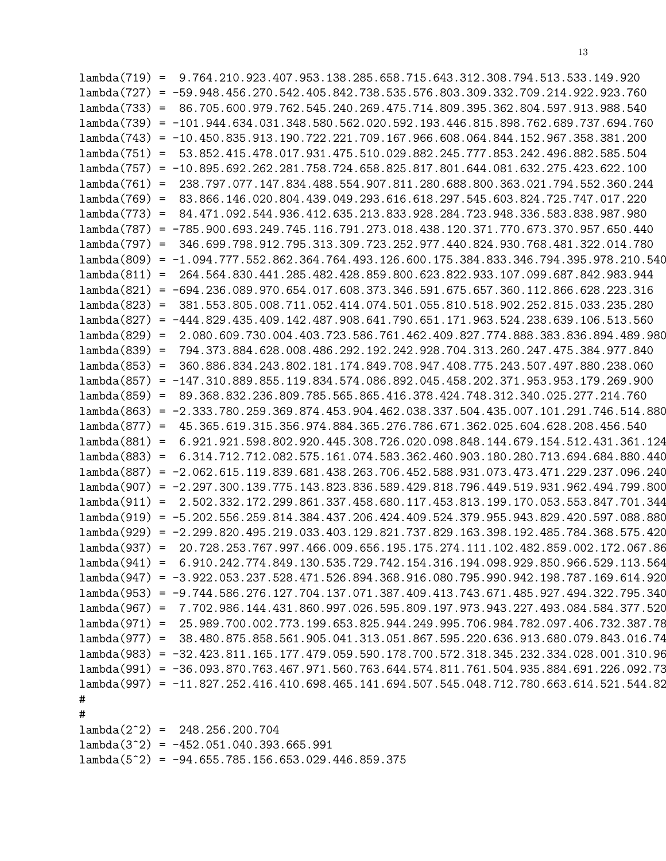|                 | $lambda(719) = 9.764.210.923.407.953.138.285.658.715.643.312.308.794.513.533.149.920$      |  |  |  |  |  |  |
|-----------------|--------------------------------------------------------------------------------------------|--|--|--|--|--|--|
|                 | $lambda(727) = -59.948.456.270.542.405.842.738.535.576.803.309.332.709.214.922.923.760$    |  |  |  |  |  |  |
| $lambda(733) =$ | 86.705.600.979.762.545.240.269.475.714.809.395.362.804.597.913.988.540                     |  |  |  |  |  |  |
|                 | $lambda(739) = -101.944.634.031.348.580.562.020.592.193.446.815.898.762.689.737.694.760$   |  |  |  |  |  |  |
|                 | $lambda(743) = -10.450.835.913.190.722.221.709.167.966.608.064.844.152.967.358.381.200$    |  |  |  |  |  |  |
|                 | lambda(751) = 53.852.415.478.017.931.475.510.029.882.245.777.853.242.496.882.585.504       |  |  |  |  |  |  |
|                 | $lambda(757) = -10.895.692.262.281.758.724.658.825.817.801.644.081.632.275.423.622.100$    |  |  |  |  |  |  |
|                 | $lambda(761) = 238.797.077.147.834.488.554.907.811.280.688.800.363.021.794.552.360.244$    |  |  |  |  |  |  |
|                 | lambda(769) = 83.866.146.020.804.439.049.293.616.618.297.545.603.824.725.747.017.220       |  |  |  |  |  |  |
| $lambda(773) =$ | 84.471.092.544.936.412.635.213.833.928.284.723.948.336.583.838.987.980                     |  |  |  |  |  |  |
|                 | lambda(787) = -785.900.693.249.745.116.791.273.018.438.120.371.770.673.370.957.650.440     |  |  |  |  |  |  |
| $lambda(797) =$ | 346.699.798.912.795.313.309.723.252.977.440.824.930.768.481.322.014.780                    |  |  |  |  |  |  |
|                 | lambda(809) = -1.094.777.552.862.364.764.493.126.600.175.384.833.346.794.395.978.210.540   |  |  |  |  |  |  |
|                 | lambda(811) = 264.564.830.441.285.482.428.859.800.623.822.933.107.099.687.842.983.944      |  |  |  |  |  |  |
|                 | $lambda(821) = -694.236.089.970.654.017.608.373.346.591.675.657.360.112.866.628.223.316$   |  |  |  |  |  |  |
| $lambda(823) =$ | 381.553.805.008.711.052.414.074.501.055.810.518.902.252.815.033.235.280                    |  |  |  |  |  |  |
|                 | $lambda(827) = -444.829.435.409.142.487.908.641.790.651.171.963.524.238.639.106.513.560$   |  |  |  |  |  |  |
|                 | lambda(829) = 2.080.609.730.004.403.723.586.761.462.409.827.774.888.383.836.894.489.980    |  |  |  |  |  |  |
| $lambda(839) =$ | 794.373.884.628.008.486.292.192.242.928.704.313.260.247.475.384.977.840                    |  |  |  |  |  |  |
|                 | lambda(853) = 360.886.834.243.802.181.174.849.708.947.408.775.243.507.497.880.238.060      |  |  |  |  |  |  |
|                 | $lambda(857) = -147.310.889.855.119.834.574.086.892.045.458.202.371.953.953.179.269.900$   |  |  |  |  |  |  |
| $lambda(859) =$ | 89.368.832.236.809.785.565.865.416.378.424.748.312.340.025.277.214.760                     |  |  |  |  |  |  |
|                 | $lambda(863) = -2.333.780.259.369.874.453.904.462.038.337.504.435.007.101.291.746.514.880$ |  |  |  |  |  |  |
|                 | lambda(877) = 45.365.619.315.356.974.884.365.276.786.671.362.025.604.628.208.456.540       |  |  |  |  |  |  |
|                 | $lambda(881) = 6.921.921.598.802.920.445.308.726.020.098.848.144.679.154.512.431.361.124$  |  |  |  |  |  |  |
|                 | lambda(883) = 6.314.712.712.082.575.161.074.583.362.460.903.180.280.713.694.684.880.440    |  |  |  |  |  |  |
|                 | lambda(887) = -2.062.615.119.839.681.438.263.706.452.588.931.073.473.471.229.237.096.240   |  |  |  |  |  |  |
| lambda(907)     | $= -2.297.300.139.775.143.823.836.589.429.818.796.449.519.931.962.494.799.800$             |  |  |  |  |  |  |
|                 | $lambda(911) = 2.502.332.172.299.861.337.458.680.117.453.813.199.170.053.553.847.701.344$  |  |  |  |  |  |  |
|                 | lambda(919) = -5.202.556.259.814.384.437.206.424.409.524.379.955.943.829.420.597.088.880   |  |  |  |  |  |  |
|                 | lambda(929) = -2.299.820.495.219.033.403.129.821.737.829.163.398.192.485.784.368.575.420   |  |  |  |  |  |  |
|                 | lambda(937) = 20.728.253.767.997.466.009.656.195.175.274.111.102.482.859.002.172.067.86    |  |  |  |  |  |  |
|                 | lambda(941) = 6.910.242.774.849.130.535.729.742.154.316.194.098.929.850.966.529.113.564    |  |  |  |  |  |  |
|                 | $lambda(947) = -3.922.053.237.528.471.526.894.368.916.080.795.990.942.198.787.169.614.920$ |  |  |  |  |  |  |
|                 | $lambda(953) = -9.744.586.276.127.704.137.071.387.409.413.743.671.485.927.494.322.795.340$ |  |  |  |  |  |  |
|                 | lambda(967) = 7.702.986.144.431.860.997.026.595.809.197.973.943.227.493.084.584.377.520    |  |  |  |  |  |  |
|                 | lambda(971) = 25.989.700.002.773.199.653.825.944.249.995.706.984.782.097.406.732.387.78    |  |  |  |  |  |  |
|                 | $lambda(977) = 38.480.875.858.561.905.041.313.051.867.595.220.636.913.680.079.843.016.74$  |  |  |  |  |  |  |
|                 | lambda(983) = -32.423.811.165.177.479.059.590.178.700.572.318.345.232.334.028.001.310.96   |  |  |  |  |  |  |
|                 | lambda(991) = -36.093.870.763.467.971.560.763.644.574.811.761.504.935.884.691.226.092.73   |  |  |  |  |  |  |
|                 | $lambda(997) = -11.827.252.416.410.698.465.141.694.507.545.048.712.780.663.614.521.544.82$ |  |  |  |  |  |  |
| $\sharp$        |                                                                                            |  |  |  |  |  |  |
| $\sharp$        |                                                                                            |  |  |  |  |  |  |
|                 | $lambda(2^2) = 248.256.200.704$                                                            |  |  |  |  |  |  |
|                 | $lambda(3^2) = -452.051.040.393.665.991$                                                   |  |  |  |  |  |  |
|                 | $lambda(5^2) = -94.655.785.156.653.029.446.859.375$                                        |  |  |  |  |  |  |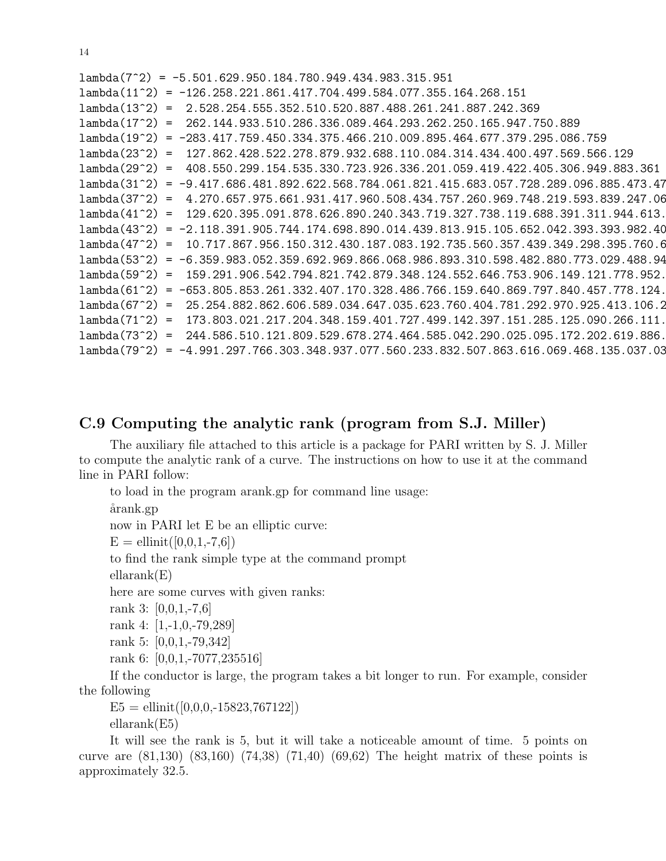| $lambda(7^2) = -5.501.629.950.184.780.949.434.983.315.951$                                 |
|--------------------------------------------------------------------------------------------|
| $lambda(11^2) = -126.258.221.861.417.704.499.584.077.355.164.268.151$                      |
| $lambda(13^2) = 2.528.254.555.352.510.520.887.488.261.241.887.242.369$                     |
| $lambda(17^2) = 262.144.933.510.286.336.089.464.293.262.250.165.947.750.889$               |
| $lambda(19^2) = -283.417.759.450.334.375.466.210.009.895.464.677.379.295.086.759$          |
| lambda(23^2) = 127.862.428.522.278.879.932.688.110.084.314.434.400.497.569.566.129         |
| lambda(29^2) = 408.550.299.154.535.330.723.926.336.201.059.419.422.405.306.949.883.361     |
| $lambda(31^2) = -9.417.686.481.892.622.568.784.061.821.415.683.057.728.289.096.885.473.47$ |
| lambda(37^2) = 4.270.657.975.661.931.417.960.508.434.757.260.969.748.219.593.839.247.06    |
| lambda(41^2) = 129.620.395.091.878.626.890.240.343.719.327.738.119.688.391.311.944.613.    |
| lambda(43^2) = -2.118.391.905.744.174.698.890.014.439.813.915.105.652.042.393.393.982.40   |
| lambda(47^2) = 10.717.867.956.150.312.430.187.083.192.735.560.357.439.349.298.395.760.6    |
| lambda(53^2) = -6.359.983.052.359.692.969.866.068.986.893.310.598.482.880.773.029.488.94   |
| lambda(59^2) = 159.291.906.542.794.821.742.879.348.124.552.646.753.906.149.121.778.952.    |
| lambda(61^2) = -653.805.853.261.332.407.170.328.486.766.159.640.869.797.840.457.778.124.   |
| lambda(67^2) = 25.254.882.862.606.589.034.647.035.623.760.404.781.292.970.925.413.106.2    |
| $lambda(71^2) = 173.803.021.217.204.348.159.401.727.499.142.397.151.285.125.090.266.111.$  |
| lambda(73^2) = 244.586.510.121.809.529.678.274.464.585.042.290.025.095.172.202.619.886.    |
| lambda(79^2) = -4.991.297.766.303.348.937.077.560.233.832.507.863.616.069.468.135.037.03   |

# C.9 Computing the analytic rank (program from S.J. Miller)

The auxiliary file attached to this article is a package for PARI written by S. J. Miller to compute the analytic rank of a curve. The instructions on how to use it at the command line in PARI follow:

to load in the program arank.gp for command line usage:

årank.gp

now in PARI let E be an elliptic curve:

 $E =$ ellinit $([0,0,1,-7,6])$ 

to find the rank simple type at the command prompt

ellarank(E)

here are some curves with given ranks:

rank 3: [0,0,1,-7,6]

rank 4: [1,-1,0,-79,289]

rank 5: [0,0,1,-79,342]

rank 6: [0,0,1,-7077,235516]

If the conductor is large, the program takes a bit longer to run. For example, consider the following

 $E5 =$  ellinit $([0,0,0,-15823,767122])$ ellarank(E5)

It will see the rank is 5, but it will take a noticeable amount of time. 5 points on curve are (81,130) (83,160) (74,38) (71,40) (69,62) The height matrix of these points is approximately 32.5.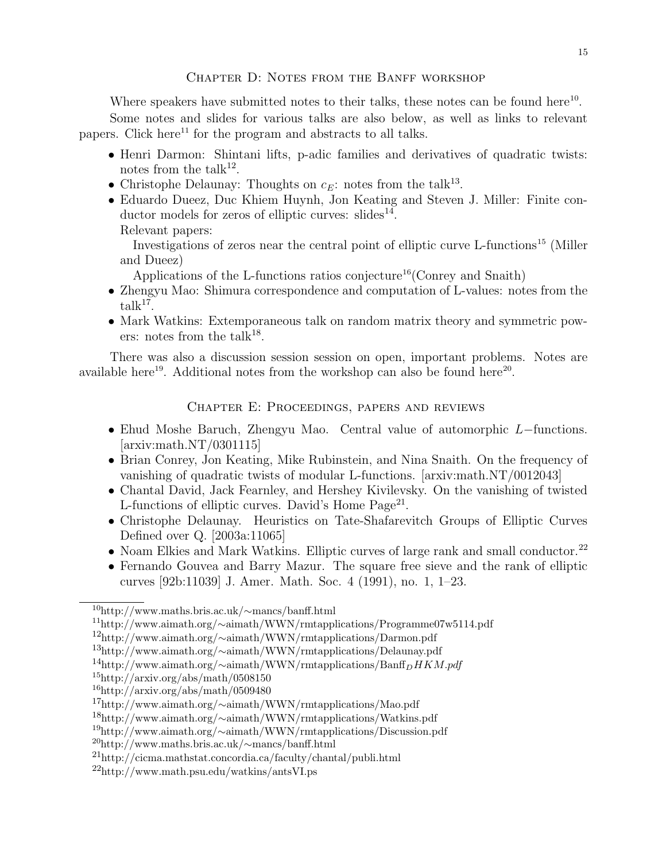#### CHAPTER D: NOTES FROM THE BANFF WORKSHOP

Where speakers have submitted notes to their talks, these notes can be found here $^{10}$ . Some notes and slides for various talks are also below, as well as links to relevant papers. Click here<sup>11</sup> for the program and abstracts to all talks.

- Henri Darmon: Shintani lifts, p-adic families and derivatives of quadratic twists: notes from the talk<sup>12</sup>.
- Christophe Delaunay: Thoughts on  $c_E$ : notes from the talk<sup>13</sup>.
- Eduardo Dueez, Duc Khiem Huynh, Jon Keating and Steven J. Miller: Finite conductor models for zeros of elliptic curves: slides<sup>14</sup>.

Relevant papers:

Investigations of zeros near the central point of elliptic curve L-functions<sup>15</sup> (Miller and Dueez)

Applications of the L-functions ratios conjecture<sup>16</sup> (Conrey and Snaith)

- Zhengyu Mao: Shimura correspondence and computation of L-values: notes from the  $\text{talk}^{17}$ .
- Mark Watkins: Extemporaneous talk on random matrix theory and symmetric powers: notes from the talk<sup>18</sup>.

There was also a discussion session session on open, important problems. Notes are available here<sup>19</sup>. Additional notes from the workshop can also be found here<sup>20</sup>.

#### Chapter E: Proceedings, papers and reviews

- Ehud Moshe Baruch, Zhengyu Mao. Central value of automorphic L−functions. [arxiv:math.NT/0301115]
- Brian Conrey, Jon Keating, Mike Rubinstein, and Nina Snaith. On the frequency of vanishing of quadratic twists of modular L-functions. [arxiv:math.NT/0012043]
- Chantal David, Jack Fearnley, and Hershey Kivilevsky. On the vanishing of twisted L-functions of elliptic curves. David's Home Page<sup>21</sup>.
- Christophe Delaunay. Heuristics on Tate-Shafarevitch Groups of Elliptic Curves Defined over Q. [2003a:11065]
- Noam Elkies and Mark Watkins. Elliptic curves of large rank and small conductor.<sup>22</sup>
- Fernando Gouvea and Barry Mazur. The square free sieve and the rank of elliptic curves [92b:11039] J. Amer. Math. Soc. 4 (1991), no. 1, 1–23.

<sup>10</sup>http://www.maths.bris.ac.uk/∼mancs/banff.html

<sup>11</sup>http://www.aimath.org/∼aimath/WWN/rmtapplications/Programme07w5114.pdf

<sup>12</sup>http://www.aimath.org/∼aimath/WWN/rmtapplications/Darmon.pdf

<sup>13</sup>http://www.aimath.org/∼aimath/WWN/rmtapplications/Delaunay.pdf

<sup>&</sup>lt;sup>14</sup>http://www.aimath.org/∼aimath/WWN/rmtapplications/Banff<sub>D</sub>HKM.pdf

 $15$ http://arxiv.org/abs/math/0508150

 $16$ http://arxiv.org/abs/math/0509480

<sup>17</sup>http://www.aimath.org/∼aimath/WWN/rmtapplications/Mao.pdf

<sup>18</sup>http://www.aimath.org/∼aimath/WWN/rmtapplications/Watkins.pdf

<sup>19</sup>http://www.aimath.org/∼aimath/WWN/rmtapplications/Discussion.pdf

<sup>20</sup>http://www.maths.bris.ac.uk/∼mancs/banff.html

<sup>21</sup>http://cicma.mathstat.concordia.ca/faculty/chantal/publi.html

<sup>22</sup>http://www.math.psu.edu/watkins/antsVI.ps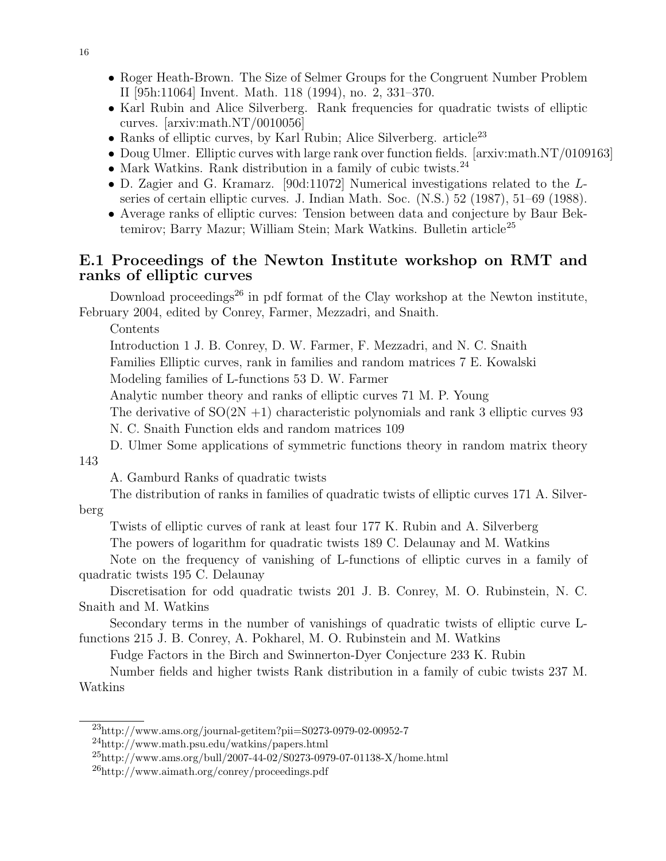- Roger Heath-Brown. The Size of Selmer Groups for the Congruent Number Problem II [95h:11064] Invent. Math. 118 (1994), no. 2, 331–370.
- Karl Rubin and Alice Silverberg. Rank frequencies for quadratic twists of elliptic curves. [arxiv:math.NT/0010056]
- Ranks of elliptic curves, by Karl Rubin; Alice Silverberg. article<sup>23</sup>
- Doug Ulmer. Elliptic curves with large rank over function fields. [arxiv:math.NT/0109163]
- Mark Watkins. Rank distribution in a family of cubic twists.<sup>24</sup>
- D. Zagier and G. Kramarz. [90d:11072] Numerical investigations related to the Lseries of certain elliptic curves. J. Indian Math. Soc. (N.S.) 52 (1987), 51–69 (1988).
- Average ranks of elliptic curves: Tension between data and conjecture by Baur Bektemirov; Barry Mazur; William Stein; Mark Watkins. Bulletin article<sup>25</sup>

# E.1 Proceedings of the Newton Institute workshop on RMT and ranks of elliptic curves

Download proceedings<sup>26</sup> in pdf format of the Clay workshop at the Newton institute, February 2004, edited by Conrey, Farmer, Mezzadri, and Snaith.

Contents

Introduction 1 J. B. Conrey, D. W. Farmer, F. Mezzadri, and N. C. Snaith

Families Elliptic curves, rank in families and random matrices 7 E. Kowalski

Modeling families of L-functions 53 D. W. Farmer

Analytic number theory and ranks of elliptic curves 71 M. P. Young

The derivative of  $SO(2N +1)$  characteristic polynomials and rank 3 elliptic curves 93

N. C. Snaith Function elds and random matrices 109

D. Ulmer Some applications of symmetric functions theory in random matrix theory 143

A. Gamburd Ranks of quadratic twists

The distribution of ranks in families of quadratic twists of elliptic curves 171 A. Silver-

#### berg

Twists of elliptic curves of rank at least four 177 K. Rubin and A. Silverberg

The powers of logarithm for quadratic twists 189 C. Delaunay and M. Watkins

Note on the frequency of vanishing of L-functions of elliptic curves in a family of quadratic twists 195 C. Delaunay

Discretisation for odd quadratic twists 201 J. B. Conrey, M. O. Rubinstein, N. C. Snaith and M. Watkins

Secondary terms in the number of vanishings of quadratic twists of elliptic curve Lfunctions 215 J. B. Conrey, A. Pokharel, M. O. Rubinstein and M. Watkins

Fudge Factors in the Birch and Swinnerton-Dyer Conjecture 233 K. Rubin

Number fields and higher twists Rank distribution in a family of cubic twists 237 M. Watkins

<sup>23</sup>http://www.ams.org/journal-getitem?pii=S0273-0979-02-00952-7

<sup>24</sup>http://www.math.psu.edu/watkins/papers.html

 $^{25}$ http://www.ams.org/bull/2007-44-02/S0273-0979-07-01138-X/home.html

<sup>26</sup>http://www.aimath.org/conrey/proceedings.pdf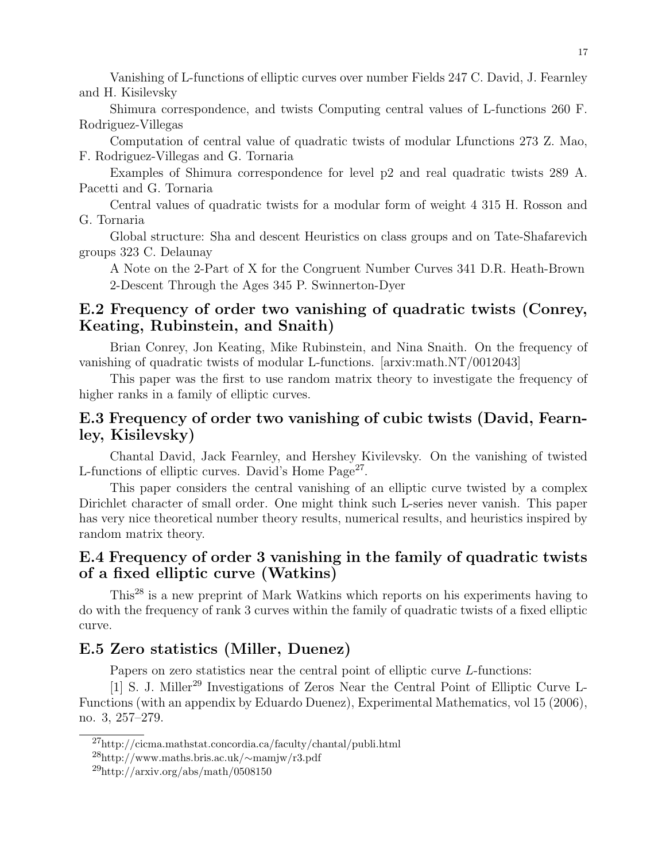Vanishing of L-functions of elliptic curves over number Fields 247 C. David, J. Fearnley and H. Kisilevsky

Shimura correspondence, and twists Computing central values of L-functions 260 F. Rodriguez-Villegas

Computation of central value of quadratic twists of modular Lfunctions 273 Z. Mao, F. Rodriguez-Villegas and G. Tornaria

Examples of Shimura correspondence for level p2 and real quadratic twists 289 A. Pacetti and G. Tornaria

Central values of quadratic twists for a modular form of weight 4 315 H. Rosson and G. Tornaria

Global structure: Sha and descent Heuristics on class groups and on Tate-Shafarevich groups 323 C. Delaunay

A Note on the 2-Part of X for the Congruent Number Curves 341 D.R. Heath-Brown 2-Descent Through the Ages 345 P. Swinnerton-Dyer

# E.2 Frequency of order two vanishing of quadratic twists (Conrey, Keating, Rubinstein, and Snaith)

Brian Conrey, Jon Keating, Mike Rubinstein, and Nina Snaith. On the frequency of vanishing of quadratic twists of modular L-functions. [arxiv:math.NT/0012043]

This paper was the first to use random matrix theory to investigate the frequency of higher ranks in a family of elliptic curves.

# E.3 Frequency of order two vanishing of cubic twists (David, Fearnley, Kisilevsky)

Chantal David, Jack Fearnley, and Hershey Kivilevsky. On the vanishing of twisted L-functions of elliptic curves. David's Home Page<sup>27</sup>.

This paper considers the central vanishing of an elliptic curve twisted by a complex Dirichlet character of small order. One might think such L-series never vanish. This paper has very nice theoretical number theory results, numerical results, and heuristics inspired by random matrix theory.

# E.4 Frequency of order 3 vanishing in the family of quadratic twists of a fixed elliptic curve (Watkins)

This<sup>28</sup> is a new preprint of Mark Watkins which reports on his experiments having to do with the frequency of rank 3 curves within the family of quadratic twists of a fixed elliptic curve.

### E.5 Zero statistics (Miller, Duenez)

Papers on zero statistics near the central point of elliptic curve L-functions:

[1] S. J. Miller<sup>29</sup> Investigations of Zeros Near the Central Point of Elliptic Curve L-Functions (with an appendix by Eduardo Duenez), Experimental Mathematics, vol 15 (2006), no. 3, 257–279.

<sup>27</sup>http://cicma.mathstat.concordia.ca/faculty/chantal/publi.html

<sup>28</sup>http://www.maths.bris.ac.uk/∼mamjw/r3.pdf

 $^{29}$ http://arxiv.org/abs/math/0508150